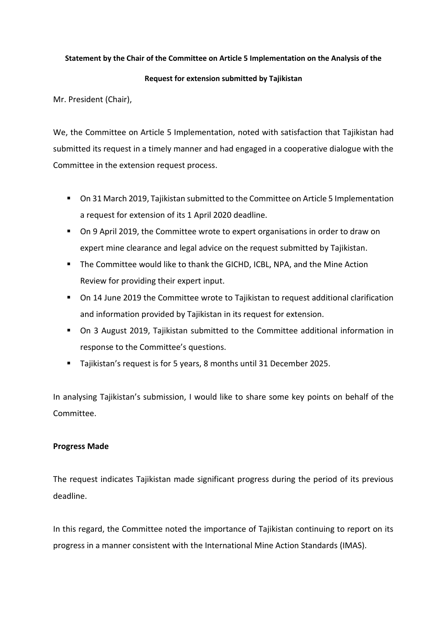### **Statement by the Chair of the Committee on Article 5 Implementation on the Analysis of the**

#### **Request for extension submitted by Tajikistan**

Mr. President (Chair),

We, the Committee on Article 5 Implementation, noted with satisfaction that Tajikistan had submitted its request in a timely manner and had engaged in a cooperative dialogue with the Committee in the extension request process.

- On 31 March 2019, Tajikistan submitted to the Committee on Article 5 Implementation a request for extension of its 1 April 2020 deadline.
- On 9 April 2019, the Committee wrote to expert organisations in order to draw on expert mine clearance and legal advice on the request submitted by Tajikistan.
- **.** The Committee would like to thank the GICHD, ICBL, NPA, and the Mine Action Review for providing their expert input.
- On 14 June 2019 the Committee wrote to Tajikistan to request additional clarification and information provided by Tajikistan in its request for extension.
- On 3 August 2019, Tajikistan submitted to the Committee additional information in response to the Committee's questions.
- Tajikistan's request is for 5 years, 8 months until 31 December 2025.

In analysing Tajikistan's submission, I would like to share some key points on behalf of the Committee.

## **Progress Made**

The request indicates Tajikistan made significant progress during the period of its previous deadline.

In this regard, the Committee noted the importance of Tajikistan continuing to report on its progress in a manner consistent with the International Mine Action Standards (IMAS).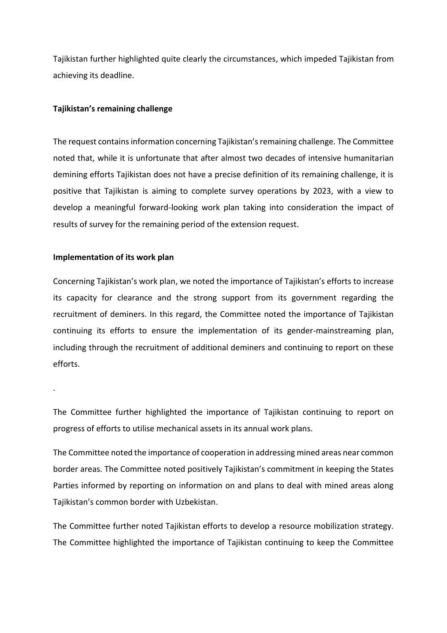Tajikistan further highlighted quite clearly the circumstances, which impeded Tajikistan from achieving its deadline.

## **Tajikistan's remaining challenge**

The request contains information concerning Tajikistan's remaining challenge. The Committee noted that, while it is unfortunate that after almost two decades of intensive humanitarian demining efforts Tajikistan does not have a precise definition of its remaining challenge, it is positive that Tajikistan is aiming to complete survey operations by 2023, with a view to develop a meaningful forward-looking work plan taking into consideration the impact of results of survey for the remaining period of the extension request.

# **Implementation of its work plan**

.

Concerning Tajikistan's work plan, we noted the importance of Tajikistan's efforts to increase its capacity for clearance and the strong support from its government regarding the recruitment of deminers. In this regard, the Committee noted the importance of Tajikistan continuing its efforts to ensure the implementation of its gender-mainstreaming plan, including through the recruitment of additional deminers and continuing to report on these efforts.

The Committee further highlighted the importance of Tajikistan continuing to report on progress of efforts to utilise mechanical assets in its annual work plans.

The Committee noted the importance of cooperation in addressing mined areas near common border areas. The Committee noted positively Tajikistan's commitment in keeping the States Parties informed by reporting on information on and plans to deal with mined areas along Tajikistan's common border with Uzbekistan.

The Committee further noted Tajikistan efforts to develop a resource mobilization strategy. The Committee highlighted the importance of Tajikistan continuing to keep the Committee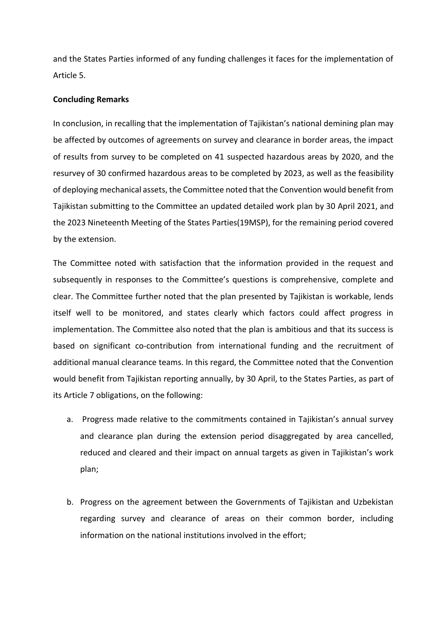and the States Parties informed of any funding challenges it faces for the implementation of Article 5.

#### **Concluding Remarks**

In conclusion, in recalling that the implementation of Tajikistan's national demining plan may be affected by outcomes of agreements on survey and clearance in border areas, the impact of results from survey to be completed on 41 suspected hazardous areas by 2020, and the resurvey of 30 confirmed hazardous areas to be completed by 2023, as well as the feasibility of deploying mechanical assets, the Committee noted that the Convention would benefit from Tajikistan submitting to the Committee an updated detailed work plan by 30 April 2021, and the 2023 Nineteenth Meeting of the States Parties(19MSP), for the remaining period covered by the extension.

The Committee noted with satisfaction that the information provided in the request and subsequently in responses to the Committee's questions is comprehensive, complete and clear. The Committee further noted that the plan presented by Tajikistan is workable, lends itself well to be monitored, and states clearly which factors could affect progress in implementation. The Committee also noted that the plan is ambitious and that its success is based on significant co-contribution from international funding and the recruitment of additional manual clearance teams. In this regard, the Committee noted that the Convention would benefit from Tajikistan reporting annually, by 30 April, to the States Parties, as part of its Article 7 obligations, on the following:

- a. Progress made relative to the commitments contained in Tajikistan's annual survey and clearance plan during the extension period disaggregated by area cancelled, reduced and cleared and their impact on annual targets as given in Tajikistan's work plan;
- b. Progress on the agreement between the Governments of Tajikistan and Uzbekistan regarding survey and clearance of areas on their common border, including information on the national institutions involved in the effort;